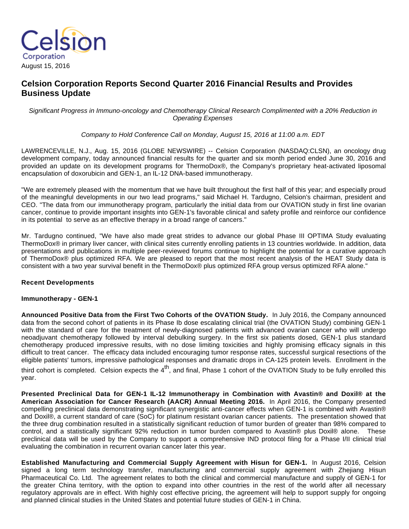

# **Celsion Corporation Reports Second Quarter 2016 Financial Results and Provides Business Update**

Significant Progress in Immuno-oncology and Chemotherapy Clinical Research Complimented with a 20% Reduction in Operating Expenses

Company to Hold Conference Call on Monday, August 15, 2016 at 11:00 a.m. EDT

LAWRENCEVILLE, N.J., Aug. 15, 2016 (GLOBE NEWSWIRE) -- Celsion Corporation (NASDAQ:CLSN), an oncology drug development company, today announced financial results for the quarter and six month period ended June 30, 2016 and provided an update on its development programs for ThermoDox®, the Company's proprietary heat-activated liposomal encapsulation of doxorubicin and GEN-1, an IL-12 DNA-based immunotherapy.

"We are extremely pleased with the momentum that we have built throughout the first half of this year; and especially proud of the meaningful developments in our two lead programs," said Michael H. Tardugno, Celsion's chairman, president and CEO. "The data from our immunotherapy program, particularly the initial data from our OVATION study in first line ovarian cancer, continue to provide important insights into GEN-1's favorable clinical and safety profile and reinforce our confidence in its potential to serve as an effective therapy in a broad range of cancers."

Mr. Tardugno continued, "We have also made great strides to advance our global Phase III OPTIMA Study evaluating ThermoDox® in primary liver cancer, with clinical sites currently enrolling patients in 13 countries worldwide. In addition, data presentations and publications in multiple peer-reviewed forums continue to highlight the potential for a curative approach of ThermoDox® plus optimized RFA. We are pleased to report that the most recent analysis of the HEAT Study data is consistent with a two year survival benefit in the ThermoDox® plus optimized RFA group versus optimized RFA alone."

### **Recent Developments**

#### **Immunotherapy - GEN-1**

**Announced Positive Data from the First Two Cohorts of the OVATION Study.** In July 2016, the Company announced data from the second cohort of patients in its Phase Ib dose escalating clinical trial (the OVATION Study) combining GEN-1 with the standard of care for the treatment of newly-diagnosed patients with advanced ovarian cancer who will undergo neoadjuvant chemotherapy followed by interval debulking surgery. In the first six patients dosed, GEN-1 plus standard chemotherapy produced impressive results, with no dose limiting toxicities and highly promising efficacy signals in this difficult to treat cancer. The efficacy data included encouraging tumor response rates, successful surgical resections of the eligible patients' tumors, impressive pathological responses and dramatic drops in CA-125 protein levels. Enrollment in the

third cohort is completed. Celsion expects the  $4<sup>th</sup>$ , and final, Phase 1 cohort of the OVATION Study to be fully enrolled this year.

**Presented Preclinical Data for GEN-1 IL-12 Immunotherapy in Combination with Avastin® and Doxil® at the American Association for Cancer Research (AACR) Annual Meeting 2016.** In April 2016, the Company presented compelling preclinical data demonstrating significant synergistic anti-cancer effects when GEN-1 is combined with Avastin® and Doxil®, a current standard of care (SoC) for platinum resistant ovarian cancer patients. The presentation showed that the three drug combination resulted in a statistically significant reduction of tumor burden of greater than 98% compared to control, and a statistically significant 92% reduction in tumor burden compared to Avastin® plus Doxil® alone. These preclinical data will be used by the Company to support a comprehensive IND protocol filing for a Phase I/II clinical trial evaluating the combination in recurrent ovarian cancer later this year.

**Established Manufacturing and Commercial Supply Agreement with Hisun for GEN-1.** In August 2016, Celsion signed a long term technology transfer, manufacturing and commercial supply agreement with Zhejiang Hisun Pharmaceutical Co. Ltd. The agreement relates to both the clinical and commercial manufacture and supply of GEN-1 for the greater China territory, with the option to expand into other countries in the rest of the world after all necessary regulatory approvals are in effect. With highly cost effective pricing, the agreement will help to support supply for ongoing and planned clinical studies in the United States and potential future studies of GEN-1 in China.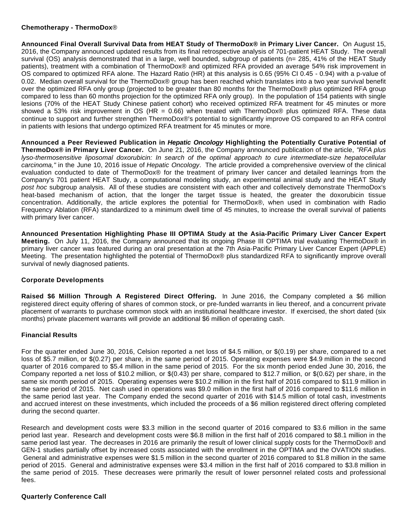### **Chemotherapy - ThermoDox**®

**Announced Final Overall Survival Data from HEAT Study of ThermoDox® in Primary Liver Cancer.** On August 15, 2016, the Company announced updated results from its final retrospective analysis of 701-patient HEAT Study. The overall survival (OS) analysis demonstrated that in a large, well bounded, subgroup of patients (n= 285, 41% of the HEAT Study patients), treatment with a combination of ThermoDox® and optimized RFA provided an average 54% risk improvement in OS compared to optimized RFA alone. The Hazard Ratio (HR) at this analysis is 0.65 (95% CI 0.45 - 0.94) with a p-value of 0.02. Median overall survival for the ThermoDox® group has been reached which translates into a two year survival benefit over the optimized RFA only group (projected to be greater than 80 months for the ThermoDox® plus optimized RFA group compared to less than 60 months projection for the optimized RFA only group). In the population of 154 patients with single lesions (70% of the HEAT Study Chinese patient cohort) who received optimized RFA treatment for 45 minutes or more showed a 53% risk improvement in OS (HR = 0.66) when treated with ThermoDox® plus optimized RFA. These data continue to support and further strengthen ThermoDox®'s potential to significantly improve OS compared to an RFA control in patients with lesions that undergo optimized RFA treatment for 45 minutes or more.

**Announced a Peer Reviewed Publication in Hepatic Oncology Highlighting the Potentially Curative Potential of ThermoDox® in Primary Liver Cancer.** On June 21, 2016, the Company announced publication of the article, "RFA plus lyso-thermosensitive liposomal doxorubicin: In search of the optimal approach to cure intermediate-size hepatocellular carcinoma," in the June 10, 2016 issue of Hepatic Oncology. The article provided a comprehensive overview of the clinical evaluation conducted to date of ThermoDox® for the treatment of primary liver cancer and detailed learnings from the Company's 701 patient HEAT Study, a computational modeling study, an experimental animal study and the HEAT Study post hoc subgroup analysis. All of these studies are consistent with each other and collectively demonstrate ThermoDox's heat-based mechanism of action, that the longer the target tissue is heated, the greater the doxorubicin tissue concentration. Additionally, the article explores the potential for ThermoDox®, when used in combination with Radio Frequency Ablation (RFA) standardized to a minimum dwell time of 45 minutes, to increase the overall survival of patients with primary liver cancer.

**Announced Presentation Highlighting Phase III OPTIMA Study at the Asia-Pacific Primary Liver Cancer Expert Meeting.** On July 11, 2016, the Company announced that its ongoing Phase III OPTIMA trial evaluating ThermoDox® in primary liver cancer was featured during an oral presentation at the 7th Asia-Pacific Primary Liver Cancer Expert (APPLE) Meeting. The presentation highlighted the potential of ThermoDox® plus standardized RFA to significantly improve overall survival of newly diagnosed patients.

# **Corporate Developments**

**Raised \$6 Million Through A Registered Direct Offering.** In June 2016, the Company completed a \$6 million registered direct equity offering of shares of common stock, or pre-funded warrants in lieu thereof, and a concurrent private placement of warrants to purchase common stock with an institutional healthcare investor. If exercised, the short dated (six months) private placement warrants will provide an additional \$6 million of operating cash.

# **Financial Results**

For the quarter ended June 30, 2016, Celsion reported a net loss of \$4.5 million, or \$(0.19) per share, compared to a net loss of \$5.7 million, or \$(0.27) per share, in the same period of 2015. Operating expenses were \$4.9 million in the second quarter of 2016 compared to \$5.4 million in the same period of 2015. For the six month period ended June 30, 2016, the Company reported a net loss of \$10.2 million, or \$(0.43) per share, compared to \$12.7 million, or \$(0.62) per share, in the same six month period of 2015. Operating expenses were \$10.2 million in the first half of 2016 compared to \$11.9 million in the same period of 2015. Net cash used in operations was \$9.0 million in the first half of 2016 compared to \$11.6 million in the same period last year. The Company ended the second quarter of 2016 with \$14.5 million of total cash, investments and accrued interest on these investments, which included the proceeds of a \$6 million registered direct offering completed during the second quarter.

Research and development costs were \$3.3 million in the second quarter of 2016 compared to \$3.6 million in the same period last year. Research and development costs were \$6.8 million in the first half of 2016 compared to \$8.1 million in the same period last year. The decreases in 2016 are primarily the result of lower clinical supply costs for the ThermoDox® and GEN-1 studies partially offset by increased costs associated with the enrollment in the OPTIMA and the OVATION studies. General and administrative expenses were \$1.5 million in the second quarter of 2016 compared to \$1.8 million in the same period of 2015. General and administrative expenses were \$3.4 million in the first half of 2016 compared to \$3.8 million in the same period of 2015. These decreases were primarily the result of lower personnel related costs and professional fees.

### **Quarterly Conference Call**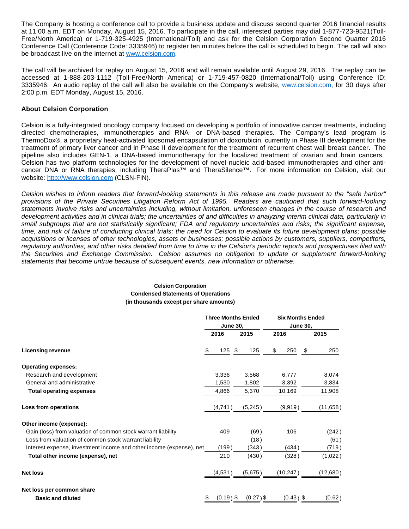The Company is hosting a conference call to provide a business update and discuss second quarter 2016 financial results at 11:00 a.m. EDT on Monday, August 15, 2016. To participate in the call, interested parties may dial 1-877-723-9521(Toll-Free/North America) or 1-719-325-4925 (International/Toll) and ask for the Celsion Corporation Second Quarter 2016 Conference Call (Conference Code: 3335946) to register ten minutes before the call is scheduled to begin. The call will also be broadcast live on the internet at [www.celsion.com](https://www.globenewswire.com/Tracker?data=GisvGvylkEjaMq_sibK_Hg9n9c5s1sGgXjsaek_Yc5Adh_Uos45EO7KbxnXdnhVnJ0Hezj7jVgeirsgM4DhHTQ==).

The call will be archived for replay on August 15, 2016 and will remain available until August 29, 2016. The replay can be accessed at 1-888-203-1112 (Toll-Free/North America) or 1-719-457-0820 (International/Toll) using Conference ID: 3335946. An audio replay of the call will also be available on the Company's website, [www.celsion.com](https://www.globenewswire.com/Tracker?data=GisvGvylkEjaMq_sibK_HgIVhINext8AeHY8dg-qMmI_bk0O45Kelb_yYwoPUZ1hBKb5Ifxs86hyz8Q41tyrbA==), for 30 days after 2:00 p.m. EDT Monday, August 15, 2016.

### **About Celsion Corporation**

Celsion is a fully-integrated oncology company focused on developing a portfolio of innovative cancer treatments, including directed chemotherapies, immunotherapies and RNA- or DNA-based therapies. The Company's lead program is ThermoDox®, a proprietary heat-activated liposomal encapsulation of doxorubicin, currently in Phase III development for the treatment of primary liver cancer and in Phase II development for the treatment of recurrent chest wall breast cancer. The pipeline also includes GEN-1, a DNA-based immunotherapy for the localized treatment of ovarian and brain cancers. Celsion has two platform technologies for the development of novel nucleic acid-based immunotherapies and other anticancer DNA or RNA therapies, including TheraPlas™ and TheraSilence™. For more information on Celsion, visit our website: [http://www.celsion.com](https://www.globenewswire.com/Tracker?data=9v-B2GQ1vi4aVVwXbcmfBV0WFOEOxZJHihN7wonsXwvwLSNtEvoUm9ctloCKTg0FbOJ9n3i88QEqXaBA99DhtDlzfek5kk0JaVTl5co99WU=) (CLSN-FIN).

Celsion wishes to inform readers that forward-looking statements in this release are made pursuant to the "safe harbor" provisions of the Private Securities Litigation Reform Act of 1995. Readers are cautioned that such forward-looking statements involve risks and uncertainties including, without limitation, unforeseen changes in the course of research and development activities and in clinical trials; the uncertainties of and difficulties in analyzing interim clinical data, particularly in small subgroups that are not statistically significant; FDA and regulatory uncertainties and risks; the significant expense, time, and risk of failure of conducting clinical trials; the need for Celsion to evaluate its future development plans; possible acquisitions or licenses of other technologies, assets or businesses; possible actions by customers, suppliers, competitors, regulatory authorities; and other risks detailed from time to time in the Celsion's periodic reports and prospectuses filed with the Securities and Exchange Commission. Celsion assumes no obligation to update or supplement forward-looking statements that become untrue because of subsequent events, new information or otherwise.

#### **Celsion Corporation Condensed Statements of Operations (in thousands except per share amounts)**

|                                                                     |    | <b>Three Months Ended</b> |                 |             |       | <b>Six Months Ended</b> |                 |           |  |  |
|---------------------------------------------------------------------|----|---------------------------|-----------------|-------------|-------|-------------------------|-----------------|-----------|--|--|
|                                                                     |    |                           | <b>June 30,</b> |             |       |                         | <b>June 30,</b> |           |  |  |
|                                                                     |    | 2016                      |                 | 2015        |       | 2016                    |                 | 2015      |  |  |
| <b>Licensing revenue</b>                                            | \$ | $125$ \$                  |                 | 125         | \$    | 250                     | - \$            | 250       |  |  |
| <b>Operating expenses:</b>                                          |    |                           |                 |             |       |                         |                 |           |  |  |
| Research and development                                            |    | 3,336                     |                 | 3,568       |       | 6,777                   |                 | 8,074     |  |  |
| General and administrative                                          |    | 1,530                     |                 | 1,802       | 3,392 |                         |                 | 3,834     |  |  |
| <b>Total operating expenses</b>                                     |    | 4,866                     |                 | 5,370       |       | 10,169                  |                 | 11,908    |  |  |
| Loss from operations                                                |    | (4,741)                   |                 | (5,245)     |       | (9,919)                 |                 | (11, 658) |  |  |
| Other income (expense):                                             |    |                           |                 |             |       |                         |                 |           |  |  |
| Gain (loss) from valuation of common stock warrant liability        |    | 409                       |                 | (69)        |       | 106                     |                 | (242)     |  |  |
| Loss from valuation of common stock warrant liability               |    |                           |                 | (18)        |       |                         |                 | (61)      |  |  |
| Interest expense, investment income and other income (expense), net |    | (199)                     |                 | (343)       |       | (434)                   |                 | (719)     |  |  |
| Total other income (expense), net                                   |    | 210                       |                 | (430)       |       | (328)                   |                 | (1,022)   |  |  |
| <b>Net loss</b>                                                     |    | (4,531)                   |                 | (5,675)     |       | (10, 247)               |                 | (12,680)  |  |  |
| Net loss per common share                                           |    |                           |                 |             |       |                         |                 |           |  |  |
| <b>Basic and diluted</b>                                            | \$ | $(0.19)$ \$               |                 | $(0.27)$ \$ |       | $(0.43)$ \$             |                 | (0.62)    |  |  |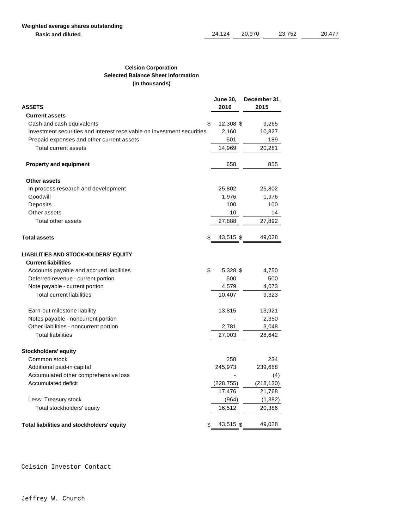### **Celsion Corporation Selected Balance Sheet Information (in thousands)**

|                                                                        | <b>June 30,</b> | December 31, |
|------------------------------------------------------------------------|-----------------|--------------|
| <b>ASSETS</b>                                                          | 2016            | 2015         |
| <b>Current assets</b>                                                  |                 |              |
| Cash and cash equivalents<br>\$                                        | 12,308 \$       | 9,265        |
| Investment securities and interest receivable on investment securities | 2,160           | 10,827       |
| Prepaid expenses and other current assets                              | 501             | 189          |
| Total current assets                                                   | 14,969          | 20,281       |
| <b>Property and equipment</b>                                          | 658             | 855          |
| Other assets                                                           |                 |              |
| In-process research and development                                    | 25,802          | 25,802       |
| Goodwill                                                               | 1,976           | 1,976        |
| Deposits                                                               | 100             | 100          |
| Other assets                                                           | 10              | 14           |
| Total other assets                                                     | 27,888          | 27,892       |
| <b>Total assets</b><br>S                                               | 43,515 \$       | 49,028       |
| <b>LIABILITIES AND STOCKHOLDERS' EQUITY</b>                            |                 |              |
| <b>Current liabilities</b>                                             |                 |              |
| \$<br>Accounts payable and accrued liabilities                         | 5,328 \$        | 4,750        |
| Deferred revenue - current portion                                     | 500             | 500          |
| Note payable - current portion                                         | 4,579           | 4,073        |
| <b>Total current liabilities</b>                                       | 10,407          | 9,323        |
| Earn-out milestone liability                                           | 13,815          | 13,921       |
| Notes payable - noncurrent portion                                     |                 | 2,350        |
| Other liabilities - noncurrent portion                                 | 2,781           | 3,048        |
| <b>Total liabilities</b>                                               | 27,003          | 28,642       |
| Stockholders' equity                                                   |                 |              |
| Common stock                                                           | 258             | 234          |
| Additional paid-in capital                                             | 245,973         | 239,668      |
| Accumulated other comprehensive loss                                   |                 | (4)          |
| Accumulated deficit                                                    | (228, 755)      | (218, 130)   |
|                                                                        | 17,476          | 21,768       |
| Less: Treasury stock                                                   | (964)           | (1, 382)     |
| Total stockholders' equity                                             | 16,512          | 20,386       |
| Total liabilities and stockholders' equity<br>S                        | 43,515 \$       | 49,028       |

Celsion Investor Contact